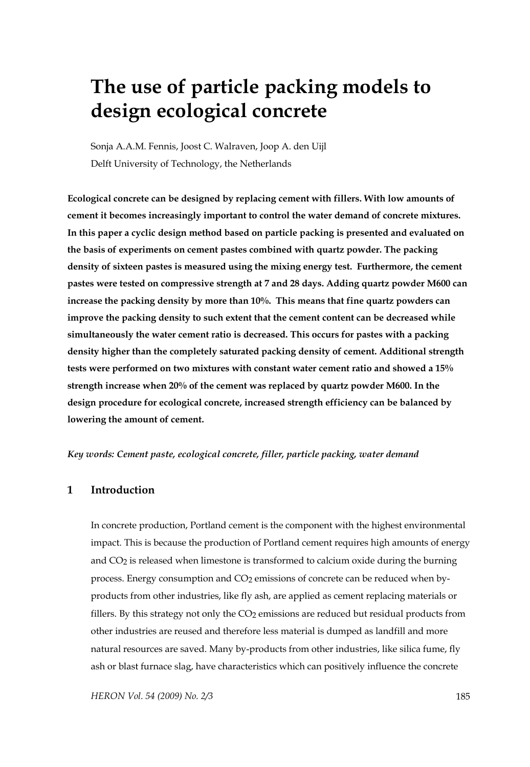# **The use of particle packing models to design ecological concrete**

Sonja A.A.M. Fennis, Joost C. Walraven, Joop A. den Uijl Delft University of Technology, the Netherlands

**Ecological concrete can be designed by replacing cement with fillers. With low amounts of cement it becomes increasingly important to control the water demand of concrete mixtures. In this paper a cyclic design method based on particle packing is presented and evaluated on the basis of experiments on cement pastes combined with quartz powder. The packing density of sixteen pastes is measured using the mixing energy test. Furthermore, the cement pastes were tested on compressive strength at 7 and 28 days. Adding quartz powder M600 can increase the packing density by more than 10%. This means that fine quartz powders can improve the packing density to such extent that the cement content can be decreased while simultaneously the water cement ratio is decreased. This occurs for pastes with a packing density higher than the completely saturated packing density of cement. Additional strength tests were performed on two mixtures with constant water cement ratio and showed a 15% strength increase when 20% of the cement was replaced by quartz powder M600. In the design procedure for ecological concrete, increased strength efficiency can be balanced by lowering the amount of cement.** 

#### *Key words: Cement paste, ecological concrete, filler, particle packing, water demand*

#### **1 Introduction**

In concrete production, Portland cement is the component with the highest environmental impact. This is because the production of Portland cement requires high amounts of energy and  $CO<sub>2</sub>$  is released when limestone is transformed to calcium oxide during the burning process. Energy consumption and CO<sub>2</sub> emissions of concrete can be reduced when byproducts from other industries, like fly ash, are applied as cement replacing materials or fillers. By this strategy not only the CO<sub>2</sub> emissions are reduced but residual products from other industries are reused and therefore less material is dumped as landfill and more natural resources are saved. Many by-products from other industries, like silica fume, fly ash or blast furnace slag, have characteristics which can positively influence the concrete

*HERON Vol. 54 (2009) No. 2/3* 185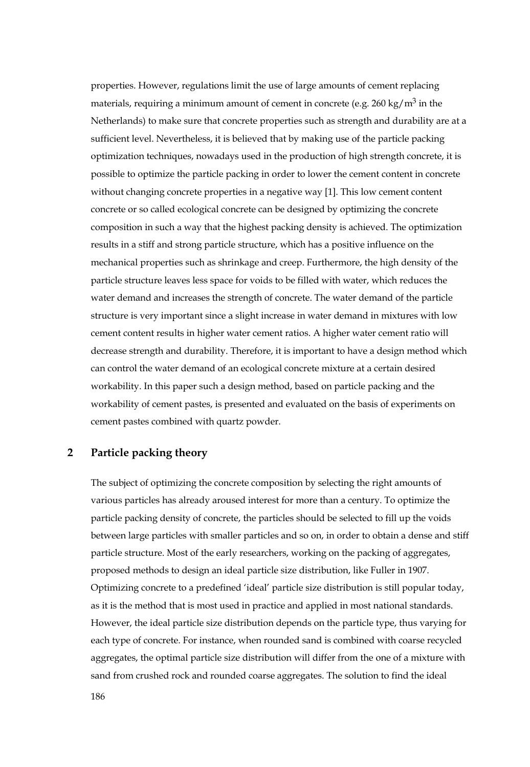properties. However, regulations limit the use of large amounts of cement replacing materials, requiring a minimum amount of cement in concrete (e.g.  $260 \text{ kg/m}^3$  in the Netherlands) to make sure that concrete properties such as strength and durability are at a sufficient level. Nevertheless, it is believed that by making use of the particle packing optimization techniques, nowadays used in the production of high strength concrete, it is possible to optimize the particle packing in order to lower the cement content in concrete without changing concrete properties in a negative way [1]. This low cement content concrete or so called ecological concrete can be designed by optimizing the concrete composition in such a way that the highest packing density is achieved. The optimization results in a stiff and strong particle structure, which has a positive influence on the mechanical properties such as shrinkage and creep. Furthermore, the high density of the particle structure leaves less space for voids to be filled with water, which reduces the water demand and increases the strength of concrete. The water demand of the particle structure is very important since a slight increase in water demand in mixtures with low cement content results in higher water cement ratios. A higher water cement ratio will decrease strength and durability. Therefore, it is important to have a design method which can control the water demand of an ecological concrete mixture at a certain desired workability. In this paper such a design method, based on particle packing and the workability of cement pastes, is presented and evaluated on the basis of experiments on cement pastes combined with quartz powder.

## **2 Particle packing theory**

The subject of optimizing the concrete composition by selecting the right amounts of various particles has already aroused interest for more than a century. To optimize the particle packing density of concrete, the particles should be selected to fill up the voids between large particles with smaller particles and so on, in order to obtain a dense and stiff particle structure. Most of the early researchers, working on the packing of aggregates, proposed methods to design an ideal particle size distribution, like Fuller in 1907. Optimizing concrete to a predefined 'ideal' particle size distribution is still popular today, as it is the method that is most used in practice and applied in most national standards. However, the ideal particle size distribution depends on the particle type, thus varying for each type of concrete. For instance, when rounded sand is combined with coarse recycled aggregates, the optimal particle size distribution will differ from the one of a mixture with sand from crushed rock and rounded coarse aggregates. The solution to find the ideal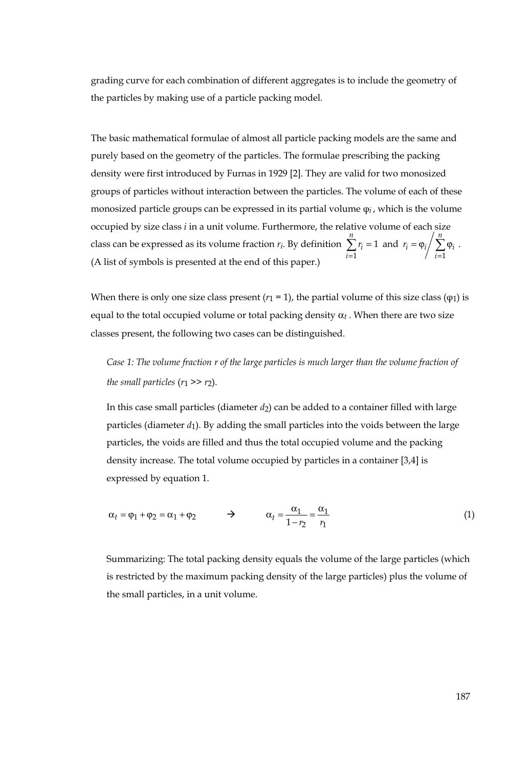grading curve for each combination of different aggregates is to include the geometry of the particles by making use of a particle packing model.

The basic mathematical formulae of almost all particle packing models are the same and purely based on the geometry of the particles. The formulae prescribing the packing density were first introduced by Furnas in 1929 [2]. They are valid for two monosized groups of particles without interaction between the particles. The volume of each of these monosized particle groups can be expressed in its partial volume φ*i* , which is the volume occupied by size class *i* in a unit volume. Furthermore, the relative volume of each size class can be expressed as its volume fraction *ri*. By definition  $\sum_{i=1}^r r_i =$  $\sum_{i=1}^{n} r_i = 1$  $\sum_{i=1}^{r_i}$  $r_i = 1$  and  $= \varphi_i / \sum_{i=1} \varphi_i$ *n*  $i = \varphi_i / \sum_{i=1}^{\infty} \varphi_i$  $r_i = \varphi_i / \sum \varphi_i$ . (A list of symbols is presented at the end of this paper.)

When there is only one size class present  $(r_1 = 1)$ , the partial volume of this size class  $(q_1)$  is equal to the total occupied volume or total packing density  $\alpha_t$ . When there are two size classes present, the following two cases can be distinguished.

*Case 1: The volume fraction r of the large particles is much larger than the volume fraction of the small particles*  $(r_1 \gg r_2)$ .

In this case small particles (diameter *d*2) can be added to a container filled with large particles (diameter *d*1). By adding the small particles into the voids between the large particles, the voids are filled and thus the total occupied volume and the packing density increase. The total volume occupied by particles in a container [3,4] is expressed by equation 1.

$$
\alpha_t = \varphi_1 + \varphi_2 = \alpha_1 + \varphi_2 \qquad \Rightarrow \qquad \alpha_t = \frac{\alpha_1}{1 - r_2} = \frac{\alpha_1}{r_1} \tag{1}
$$

Summarizing: The total packing density equals the volume of the large particles (which is restricted by the maximum packing density of the large particles) plus the volume of the small particles, in a unit volume.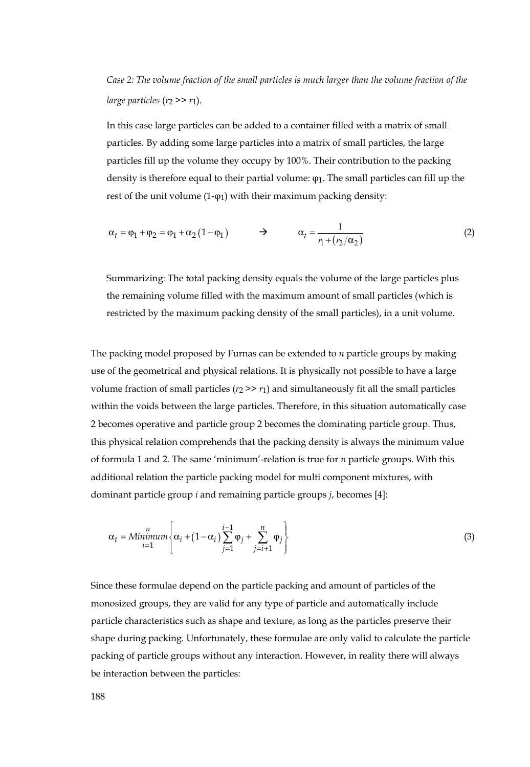# *Case 2: The volume fraction of the small particles is much larger than the volume fraction of the large particles*  $(r_2 \gg r_1)$ .

In this case large particles can be added to a container filled with a matrix of small particles. By adding some large particles into a matrix of small particles, the large particles fill up the volume they occupy by 100%. Their contribution to the packing density is therefore equal to their partial volume: φ1. The small particles can fill up the rest of the unit volume (1-φ1) with their maximum packing density:

$$
\alpha_t = \varphi_1 + \varphi_2 = \varphi_1 + \alpha_2 (1 - \varphi_1) \qquad \Rightarrow \qquad \alpha_t = \frac{1}{r_1 + (r_2/\alpha_2)} \tag{2}
$$

Summarizing: The total packing density equals the volume of the large particles plus the remaining volume filled with the maximum amount of small particles (which is restricted by the maximum packing density of the small particles), in a unit volume.

The packing model proposed by Furnas can be extended to *n* particle groups by making use of the geometrical and physical relations. It is physically not possible to have a large volume fraction of small particles  $(r_2 \gg r_1)$  and simultaneously fit all the small particles within the voids between the large particles. Therefore, in this situation automatically case 2 becomes operative and particle group 2 becomes the dominating particle group. Thus, this physical relation comprehends that the packing density is always the minimum value of formula 1 and 2. The same 'minimum'-relation is true for *n* particle groups. With this additional relation the particle packing model for multi component mixtures, with dominant particle group *i* and remaining particle groups *j*, becomes [4]:

$$
\alpha_{t} = \text{Minimum} \left\{ \alpha_{i} + (1 - \alpha_{i}) \sum_{j=1}^{i-1} \varphi_{j} + \sum_{j=i+1}^{n} \varphi_{j} \right\}
$$
\n(3)

Since these formulae depend on the particle packing and amount of particles of the monosized groups, they are valid for any type of particle and automatically include particle characteristics such as shape and texture, as long as the particles preserve their shape during packing. Unfortunately, these formulae are only valid to calculate the particle packing of particle groups without any interaction. However, in reality there will always be interaction between the particles: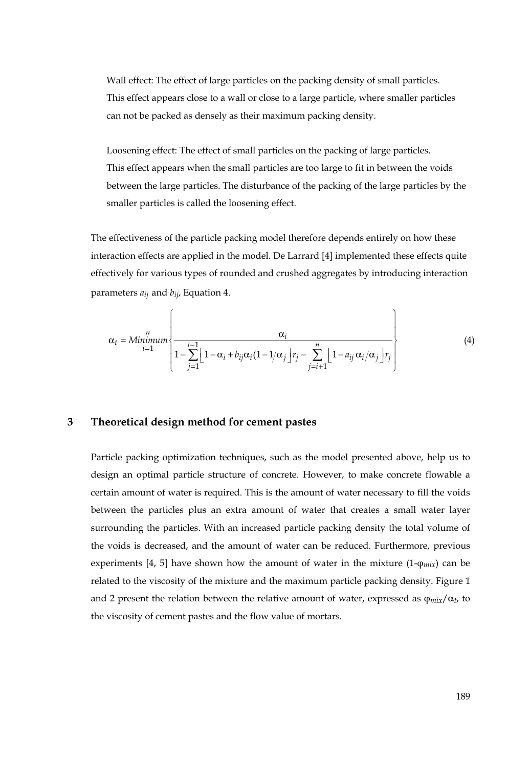Wall effect: The effect of large particles on the packing density of small particles. This effect appears close to a wall or close to a large particle, where smaller particles can not be packed as densely as their maximum packing density.

Loosening effect: The effect of small particles on the packing of large particles. This effect appears when the small particles are too large to fit in between the voids between the large particles. The disturbance of the packing of the large particles by the smaller particles is called the loosening effect.

The effectiveness of the particle packing model therefore depends entirely on how these interaction effects are applied in the model. De Larrard [4] implemented these effects quite effectively for various types of rounded and crushed aggregates by introducing interaction parameters *aij* and *bij*, Equation 4.

$$
\alpha_{t} = \text{Minimum} \left\{ \frac{\alpha_{i}}{1 - \sum_{j=1}^{i-1} \left[1 - \alpha_{i} + b_{ij}\alpha_{i}(1 - 1/\alpha_{j})\right]r_{j} - \sum_{j=i+1}^{n} \left[1 - a_{ij}\alpha_{i}/\alpha_{j}\right]r_{j}}\right\}
$$
(4)

## **3 Theoretical design method for cement pastes**

Particle packing optimization techniques, such as the model presented above, help us to design an optimal particle structure of concrete. However, to make concrete flowable a certain amount of water is required. This is the amount of water necessary to fill the voids between the particles plus an extra amount of water that creates a small water layer surrounding the particles. With an increased particle packing density the total volume of the voids is decreased, and the amount of water can be reduced. Furthermore, previous experiments [4, 5] have shown how the amount of water in the mixture (1-φ*mix*) can be related to the viscosity of the mixture and the maximum particle packing density. Figure 1 and 2 present the relation between the relative amount of water, expressed as  $\varphi_{mix}/\alpha_t$ , to the viscosity of cement pastes and the flow value of mortars.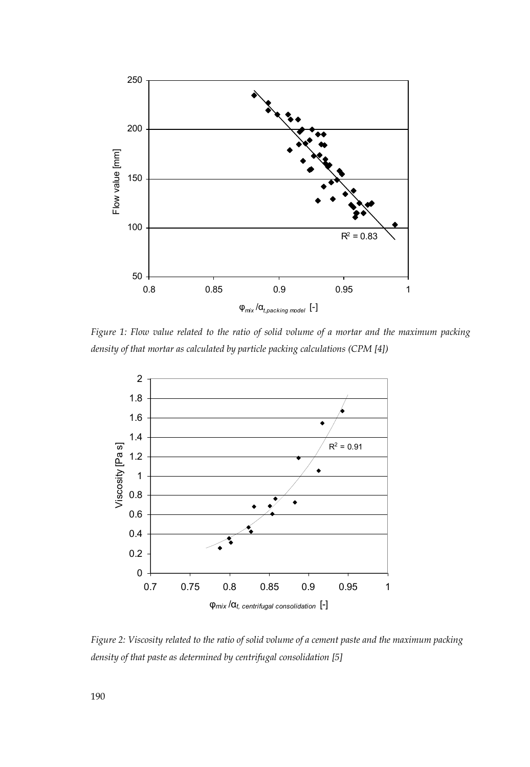

*Figure 1: Flow value related to the ratio of solid volume of a mortar and the maximum packing density of that mortar as calculated by particle packing calculations (CPM [4])* 



*Figure 2: Viscosity related to the ratio of solid volume of a cement paste and the maximum packing density of that paste as determined by centrifugal consolidation [5]*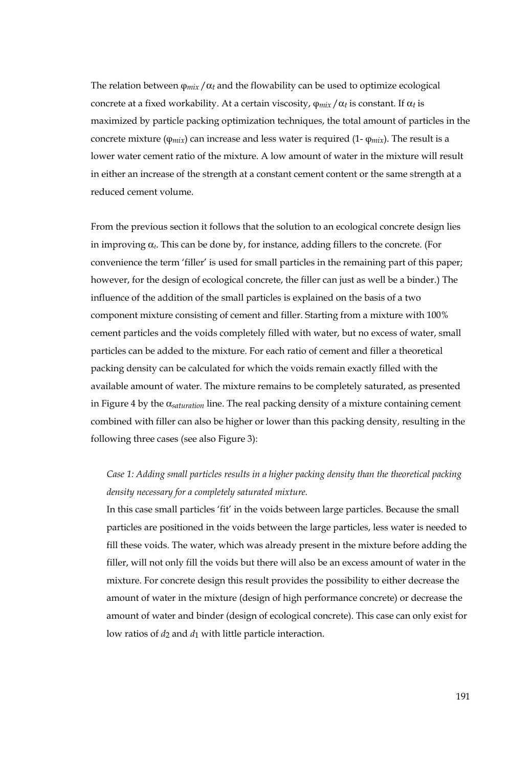The relation between  $\varphi_{mix}/\alpha_t$  and the flowability can be used to optimize ecological concrete at a fixed workability. At a certain viscosity, φ*mix* /α*t* is constant. If α*t* is maximized by particle packing optimization techniques, the total amount of particles in the concrete mixture ( $\varphi_{mix}$ ) can increase and less water is required (1- $\varphi_{mix}$ ). The result is a lower water cement ratio of the mixture. A low amount of water in the mixture will result in either an increase of the strength at a constant cement content or the same strength at a reduced cement volume.

From the previous section it follows that the solution to an ecological concrete design lies in improving  $\alpha$ . This can be done by, for instance, adding fillers to the concrete. (For convenience the term 'filler' is used for small particles in the remaining part of this paper; however, for the design of ecological concrete, the filler can just as well be a binder.) The influence of the addition of the small particles is explained on the basis of a two component mixture consisting of cement and filler. Starting from a mixture with 100% cement particles and the voids completely filled with water, but no excess of water, small particles can be added to the mixture. For each ratio of cement and filler a theoretical packing density can be calculated for which the voids remain exactly filled with the available amount of water. The mixture remains to be completely saturated, as presented in Figure 4 by the α*saturation* line. The real packing density of a mixture containing cement combined with filler can also be higher or lower than this packing density, resulting in the following three cases (see also Figure 3):

# *Case 1: Adding small particles results in a higher packing density than the theoretical packing density necessary for a completely saturated mixture.*

In this case small particles 'fit' in the voids between large particles. Because the small particles are positioned in the voids between the large particles, less water is needed to fill these voids. The water, which was already present in the mixture before adding the filler, will not only fill the voids but there will also be an excess amount of water in the mixture. For concrete design this result provides the possibility to either decrease the amount of water in the mixture (design of high performance concrete) or decrease the amount of water and binder (design of ecological concrete). This case can only exist for low ratios of  $d_2$  and  $d_1$  with little particle interaction.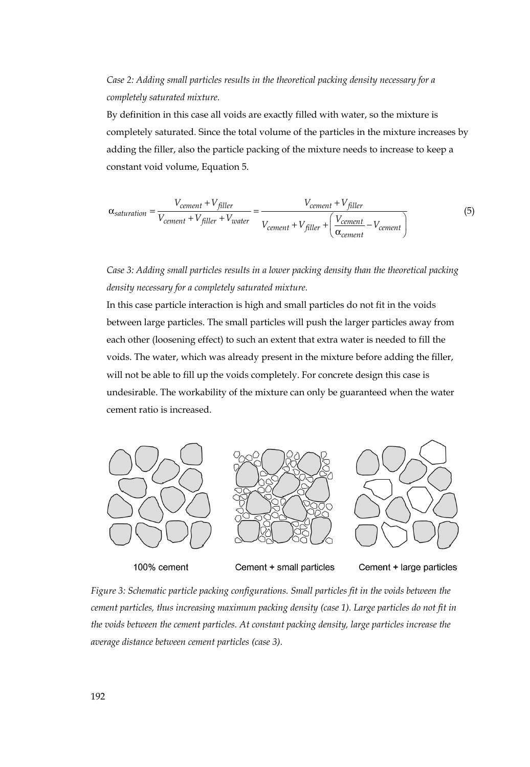# *Case 2: Adding small particles results in the theoretical packing density necessary for a completely saturated mixture.*

By definition in this case all voids are exactly filled with water, so the mixture is completely saturated. Since the total volume of the particles in the mixture increases by adding the filler, also the particle packing of the mixture needs to increase to keep a constant void volume, Equation 5.

$$
\alpha_{saturation} = \frac{V_{cement} + V_{filler}}{V_{cement} + V_{filler} + V_{water}} = \frac{V_{cement} + V_{filler}}{V_{cement} + V_{filler} + \left(\frac{V_{cement}}{\alpha_{cement}} - V_{cement}\right)}
$$
(5)

*Case 3: Adding small particles results in a lower packing density than the theoretical packing density necessary for a completely saturated mixture.* 

In this case particle interaction is high and small particles do not fit in the voids between large particles. The small particles will push the larger particles away from each other (loosening effect) to such an extent that extra water is needed to fill the voids. The water, which was already present in the mixture before adding the filler, will not be able to fill up the voids completely. For concrete design this case is undesirable. The workability of the mixture can only be guaranteed when the water cement ratio is increased.



100% cement

Cement + small particles

Cement + large particles

*Figure 3: Schematic particle packing configurations. Small particles fit in the voids between the cement particles, thus increasing maximum packing density (case 1). Large particles do not fit in the voids between the cement particles. At constant packing density, large particles increase the average distance between cement particles (case 3).*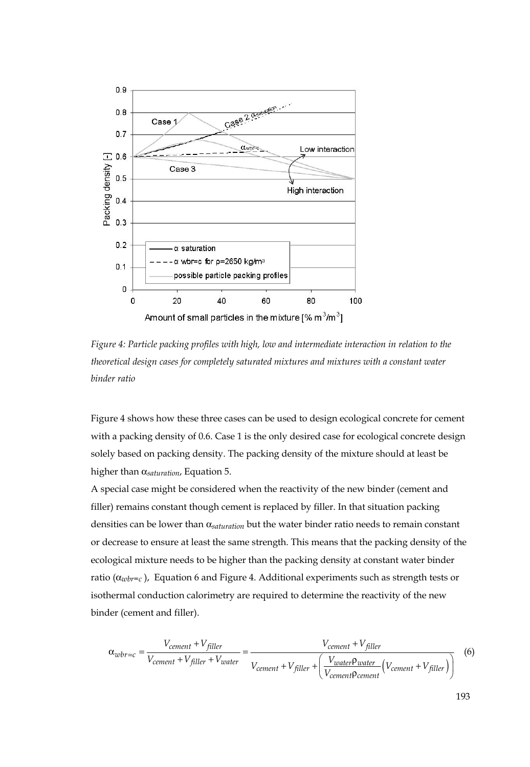

*Figure 4: Particle packing profiles with high, low and intermediate interaction in relation to the theoretical design cases for completely saturated mixtures and mixtures with a constant water binder ratio* 

Figure 4 shows how these three cases can be used to design ecological concrete for cement with a packing density of 0.6. Case 1 is the only desired case for ecological concrete design solely based on packing density. The packing density of the mixture should at least be higher than α*saturation*, Equation 5.

A special case might be considered when the reactivity of the new binder (cement and filler) remains constant though cement is replaced by filler. In that situation packing densities can be lower than α*saturation* but the water binder ratio needs to remain constant or decrease to ensure at least the same strength. This means that the packing density of the ecological mixture needs to be higher than the packing density at constant water binder ratio (α*wbr=c* ), Equation 6 and Figure 4. Additional experiments such as strength tests or isothermal conduction calorimetry are required to determine the reactivity of the new binder (cement and filler).

$$
\alpha_{wbr=c} = \frac{V_{cement} + V_{filler}}{V_{cement} + V_{filler} + V_{water}} = \frac{V_{cement} + V_{filler}}{V_{cement} + V_{filler} + \left(\frac{V_{water}p_{water}}{V_{cement}p_{cement}}(V_{cement} + V_{filler})\right)}
$$
(6)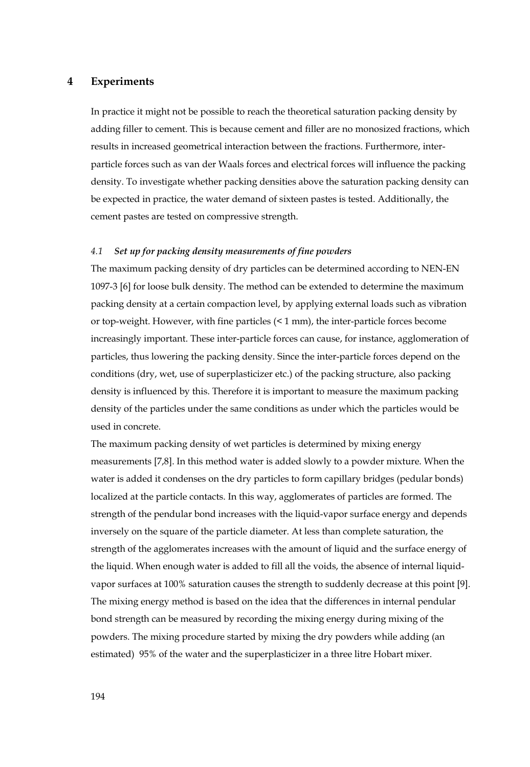## **4 Experiments**

In practice it might not be possible to reach the theoretical saturation packing density by adding filler to cement. This is because cement and filler are no monosized fractions, which results in increased geometrical interaction between the fractions. Furthermore, interparticle forces such as van der Waals forces and electrical forces will influence the packing density. To investigate whether packing densities above the saturation packing density can be expected in practice, the water demand of sixteen pastes is tested. Additionally, the cement pastes are tested on compressive strength.

#### *4.1 Set up for packing density measurements of fine powders*

The maximum packing density of dry particles can be determined according to NEN-EN 1097-3 [6] for loose bulk density. The method can be extended to determine the maximum packing density at a certain compaction level, by applying external loads such as vibration or top-weight. However, with fine particles (< 1 mm), the inter-particle forces become increasingly important. These inter-particle forces can cause, for instance, agglomeration of particles, thus lowering the packing density. Since the inter-particle forces depend on the conditions (dry, wet, use of superplasticizer etc.) of the packing structure, also packing density is influenced by this. Therefore it is important to measure the maximum packing density of the particles under the same conditions as under which the particles would be used in concrete.

The maximum packing density of wet particles is determined by mixing energy measurements [7,8]. In this method water is added slowly to a powder mixture. When the water is added it condenses on the dry particles to form capillary bridges (pedular bonds) localized at the particle contacts. In this way, agglomerates of particles are formed. The strength of the pendular bond increases with the liquid-vapor surface energy and depends inversely on the square of the particle diameter. At less than complete saturation, the strength of the agglomerates increases with the amount of liquid and the surface energy of the liquid. When enough water is added to fill all the voids, the absence of internal liquidvapor surfaces at 100% saturation causes the strength to suddenly decrease at this point [9]. The mixing energy method is based on the idea that the differences in internal pendular bond strength can be measured by recording the mixing energy during mixing of the powders. The mixing procedure started by mixing the dry powders while adding (an estimated) 95% of the water and the superplasticizer in a three litre Hobart mixer.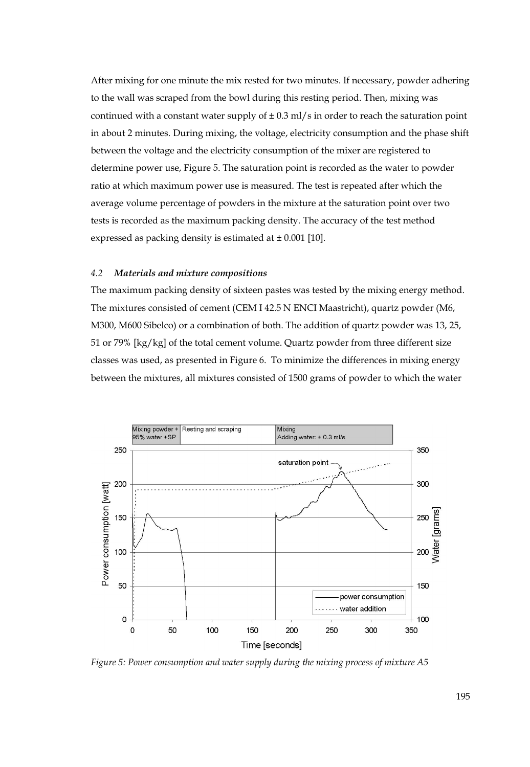After mixing for one minute the mix rested for two minutes. If necessary, powder adhering to the wall was scraped from the bowl during this resting period. Then, mixing was continued with a constant water supply of  $\pm$  0.3 ml/s in order to reach the saturation point in about 2 minutes. During mixing, the voltage, electricity consumption and the phase shift between the voltage and the electricity consumption of the mixer are registered to determine power use, Figure 5. The saturation point is recorded as the water to powder ratio at which maximum power use is measured. The test is repeated after which the average volume percentage of powders in the mixture at the saturation point over two tests is recorded as the maximum packing density. The accuracy of the test method expressed as packing density is estimated at  $\pm 0.001$  [10].

#### *4.2 Materials and mixture compositions*

The maximum packing density of sixteen pastes was tested by the mixing energy method. The mixtures consisted of cement (CEM I 42.5 N ENCI Maastricht), quartz powder (M6, M300, M600 Sibelco) or a combination of both. The addition of quartz powder was 13, 25, 51 or 79% [kg/kg] of the total cement volume. Quartz powder from three different size classes was used, as presented in Figure 6. To minimize the differences in mixing energy between the mixtures, all mixtures consisted of 1500 grams of powder to which the water



*Figure 5: Power consumption and water supply during the mixing process of mixture A5*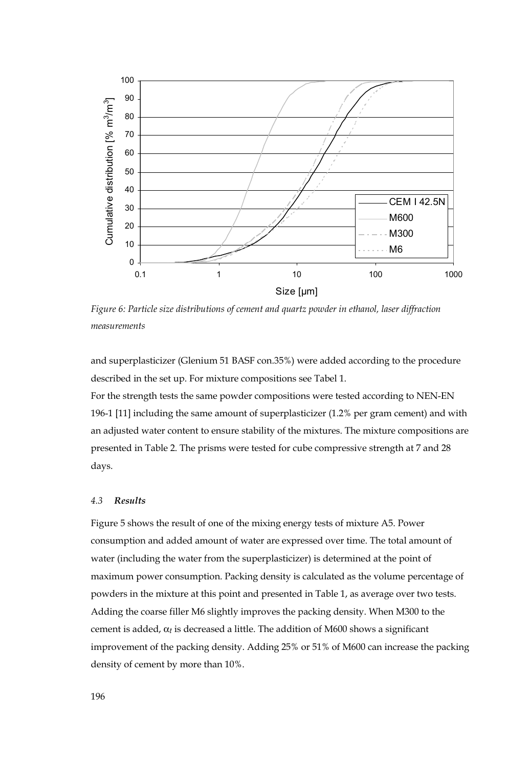

*Figure 6: Particle size distributions of cement and quartz powder in ethanol, laser diffraction measurements* 

and superplasticizer (Glenium 51 BASF con.35%) were added according to the procedure described in the set up. For mixture compositions see Tabel 1.

For the strength tests the same powder compositions were tested according to NEN-EN 196-1 [11] including the same amount of superplasticizer (1.2% per gram cement) and with an adjusted water content to ensure stability of the mixtures. The mixture compositions are presented in Table 2. The prisms were tested for cube compressive strength at 7 and 28 days.

## *4.3 Results*

Figure 5 shows the result of one of the mixing energy tests of mixture A5. Power consumption and added amount of water are expressed over time. The total amount of water (including the water from the superplasticizer) is determined at the point of maximum power consumption. Packing density is calculated as the volume percentage of powders in the mixture at this point and presented in Table 1, as average over two tests. Adding the coarse filler M6 slightly improves the packing density. When M300 to the cement is added, α*t* is decreased a little. The addition of M600 shows a significant improvement of the packing density. Adding 25% or 51% of M600 can increase the packing density of cement by more than 10%.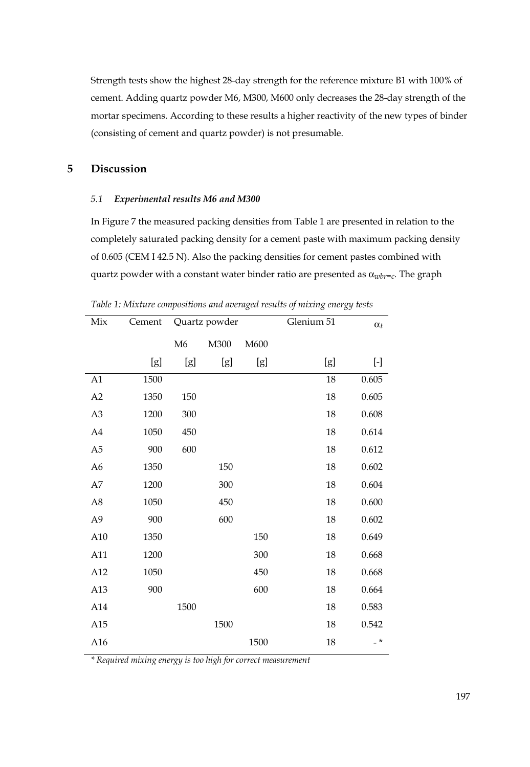Strength tests show the highest 28-day strength for the reference mixture B1 with 100% of cement. Adding quartz powder M6, M300, M600 only decreases the 28-day strength of the mortar specimens. According to these results a higher reactivity of the new types of binder (consisting of cement and quartz powder) is not presumable.

# **5 Discussion**

#### *5.1 Experimental results M6 and M300*

In Figure 7 the measured packing densities from Table 1 are presented in relation to the completely saturated packing density for a cement paste with maximum packing density of 0.605 (CEM I 42.5 N). Also the packing densities for cement pastes combined with quartz powder with a constant water binder ratio are presented as α*wbr=c*. The graph

| Mix            | Cement | Quartz powder |      |      | Glenium 51 | $\alpha_t$ |
|----------------|--------|---------------|------|------|------------|------------|
|                |        | M6            | M300 | M600 |            |            |
|                | [g]    | [g]           | [g]  | [g]  | [g]        | $[\cdot]$  |
| A1             | 1500   |               |      |      | 18         | 0.605      |
| A2             | 1350   | 150           |      |      | 18         | 0.605      |
| A3             | 1200   | 300           |      |      | 18         | 0.608      |
| A4             | 1050   | 450           |      |      | 18         | 0.614      |
| A <sub>5</sub> | 900    | 600           |      |      | 18         | 0.612      |
| A6             | 1350   |               | 150  |      | 18         | 0.602      |
| A7             | 1200   |               | 300  |      | 18         | 0.604      |
| A8             | 1050   |               | 450  |      | 18         | 0.600      |
| A9             | 900    |               | 600  |      | 18         | 0.602      |
| A10            | 1350   |               |      | 150  | 18         | 0.649      |
| A11            | 1200   |               |      | 300  | 18         | 0.668      |
| A12            | 1050   |               |      | 450  | 18         | 0.668      |
| A13            | 900    |               |      | 600  | 18         | 0.664      |
| A14            |        | 1500          |      |      | 18         | 0.583      |
| A15            |        |               | 1500 |      | 18         | 0.542      |
| A16            |        |               |      | 1500 | 18         | $-$ *      |

*Table 1: Mixture compositions and averaged results of mixing energy tests* 

*\* Required mixing energy is too high for correct measurement*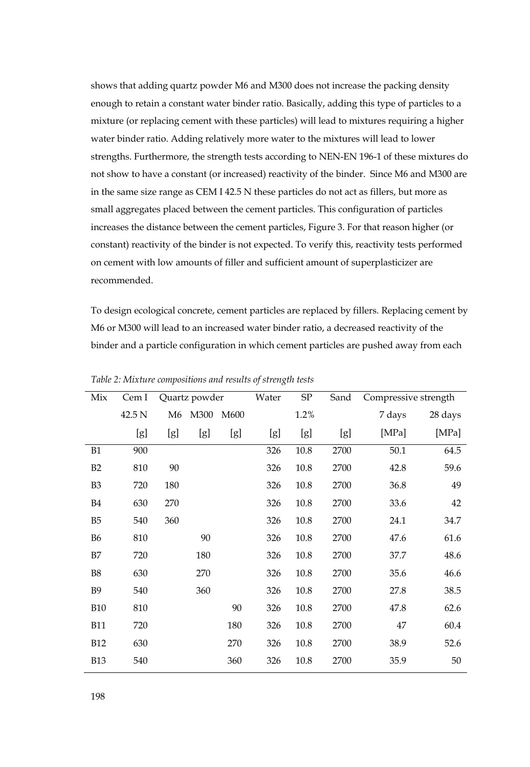shows that adding quartz powder M6 and M300 does not increase the packing density enough to retain a constant water binder ratio. Basically, adding this type of particles to a mixture (or replacing cement with these particles) will lead to mixtures requiring a higher water binder ratio. Adding relatively more water to the mixtures will lead to lower strengths. Furthermore, the strength tests according to NEN-EN 196-1 of these mixtures do not show to have a constant (or increased) reactivity of the binder. Since M6 and M300 are in the same size range as CEM I 42.5 N these particles do not act as fillers, but more as small aggregates placed between the cement particles. This configuration of particles increases the distance between the cement particles, Figure 3. For that reason higher (or constant) reactivity of the binder is not expected. To verify this, reactivity tests performed on cement with low amounts of filler and sufficient amount of superplasticizer are recommended.

To design ecological concrete, cement particles are replaced by fillers. Replacing cement by M6 or M300 will lead to an increased water binder ratio, a decreased reactivity of the binder and a particle configuration in which cement particles are pushed away from each

| Mix            | Cem I  | Quartz powder  |      | Water | SP  | Sand | Compressive strength |        |         |
|----------------|--------|----------------|------|-------|-----|------|----------------------|--------|---------|
|                | 42.5 N | M <sub>6</sub> | M300 | M600  |     | 1.2% |                      | 7 days | 28 days |
|                | [g]    | [g]            | [g]  | [g]   | [g] | [g]  | [g]                  | [MPa]  | [MPa]   |
| B1             | 900    |                |      |       | 326 | 10.8 | 2700                 | 50.1   | 64.5    |
| B2             | 810    | 90             |      |       | 326 | 10.8 | 2700                 | 42.8   | 59.6    |
| B <sub>3</sub> | 720    | 180            |      |       | 326 | 10.8 | 2700                 | 36.8   | 49      |
| <b>B4</b>      | 630    | 270            |      |       | 326 | 10.8 | 2700                 | 33.6   | 42      |
| B <sub>5</sub> | 540    | 360            |      |       | 326 | 10.8 | 2700                 | 24.1   | 34.7    |
| <b>B6</b>      | 810    |                | 90   |       | 326 | 10.8 | 2700                 | 47.6   | 61.6    |
| B7             | 720    |                | 180  |       | 326 | 10.8 | 2700                 | 37.7   | 48.6    |
| B <sub>8</sub> | 630    |                | 270  |       | 326 | 10.8 | 2700                 | 35.6   | 46.6    |
| <b>B9</b>      | 540    |                | 360  |       | 326 | 10.8 | 2700                 | 27.8   | 38.5    |
| <b>B10</b>     | 810    |                |      | 90    | 326 | 10.8 | 2700                 | 47.8   | 62.6    |
| <b>B11</b>     | 720    |                |      | 180   | 326 | 10.8 | 2700                 | 47     | 60.4    |
| <b>B12</b>     | 630    |                |      | 270   | 326 | 10.8 | 2700                 | 38.9   | 52.6    |
| <b>B13</b>     | 540    |                |      | 360   | 326 | 10.8 | 2700                 | 35.9   | 50      |

*Table 2: Mixture compositions and results of strength tests*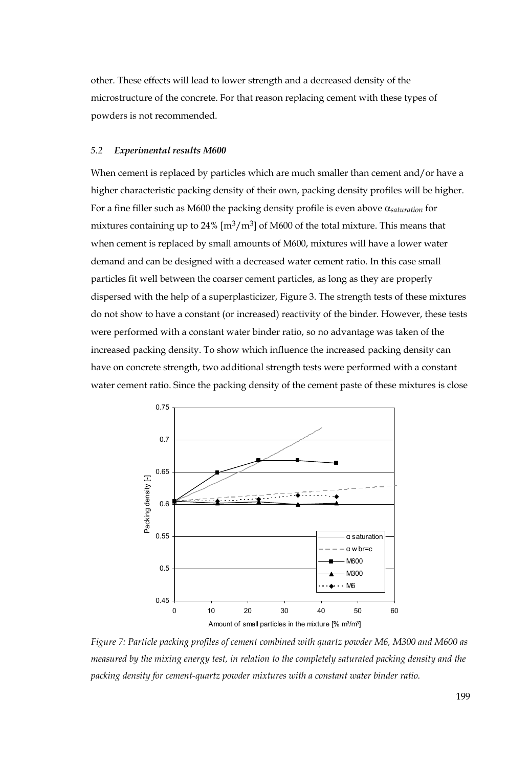other. These effects will lead to lower strength and a decreased density of the microstructure of the concrete. For that reason replacing cement with these types of powders is not recommended.

#### *5.2 Experimental results M600*

When cement is replaced by particles which are much smaller than cement and/or have a higher characteristic packing density of their own, packing density profiles will be higher. For a fine filler such as M600 the packing density profile is even above α*saturation* for mixtures containing up to 24%  $\left[\text{m}^3/\text{m}^3\right]$  of M600 of the total mixture. This means that when cement is replaced by small amounts of M600, mixtures will have a lower water demand and can be designed with a decreased water cement ratio. In this case small particles fit well between the coarser cement particles, as long as they are properly dispersed with the help of a superplasticizer, Figure 3. The strength tests of these mixtures do not show to have a constant (or increased) reactivity of the binder. However, these tests were performed with a constant water binder ratio, so no advantage was taken of the increased packing density. To show which influence the increased packing density can have on concrete strength, two additional strength tests were performed with a constant water cement ratio. Since the packing density of the cement paste of these mixtures is close



*Figure 7: Particle packing profiles of cement combined with quartz powder M6, M300 and M600 as measured by the mixing energy test, in relation to the completely saturated packing density and the packing density for cement-quartz powder mixtures with a constant water binder ratio.*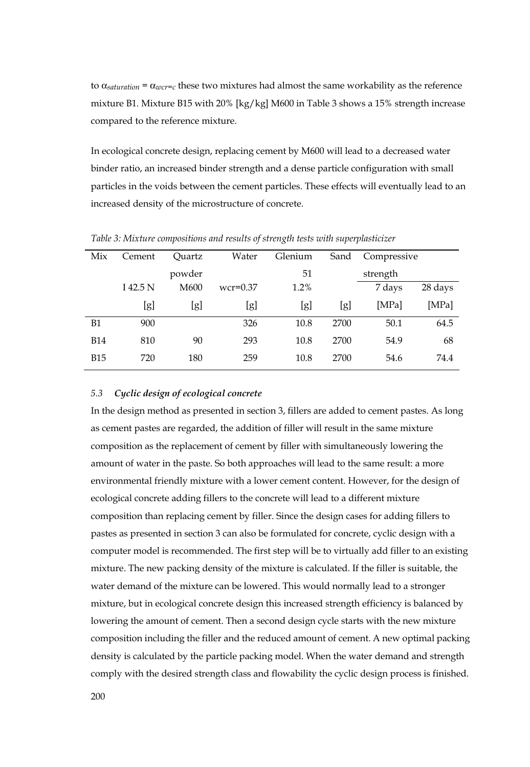to  $\alpha_{saturation} = \alpha_{wcr=c}$  these two mixtures had almost the same workability as the reference mixture B1. Mixture B15 with 20% [kg/kg] M600 in Table 3 shows a 15% strength increase compared to the reference mixture.

In ecological concrete design, replacing cement by M600 will lead to a decreased water binder ratio, an increased binder strength and a dense particle configuration with small particles in the voids between the cement particles. These effects will eventually lead to an increased density of the microstructure of concrete.

| Mix        | Cement   | Ouartz | Water      | Glenium | Sand | Compressive |         |
|------------|----------|--------|------------|---------|------|-------------|---------|
|            |          | powder |            | 51      |      | strength    |         |
|            | I 42.5 N | M600   | $wcr=0.37$ | 1.2%    |      | 7 days      | 28 days |
|            | [g]      | [g]    | [g]        | [g]     | [g]  | [MPa]       | [MPa]   |
| Β1         | 900      |        | 326        | 10.8    | 2700 | 50.1        | 64.5    |
| <b>B14</b> | 810      | 90     | 293        | 10.8    | 2700 | 54.9        | 68      |
| <b>B15</b> | 720      | 180    | 259        | 10.8    | 2700 | 54.6        | 74.4    |

*Table 3: Mixture compositions and results of strength tests with superplasticizer* 

#### *5.3 Cyclic design of ecological concrete*

In the design method as presented in section 3, fillers are added to cement pastes. As long as cement pastes are regarded, the addition of filler will result in the same mixture composition as the replacement of cement by filler with simultaneously lowering the amount of water in the paste. So both approaches will lead to the same result: a more environmental friendly mixture with a lower cement content. However, for the design of ecological concrete adding fillers to the concrete will lead to a different mixture composition than replacing cement by filler. Since the design cases for adding fillers to pastes as presented in section 3 can also be formulated for concrete, cyclic design with a computer model is recommended. The first step will be to virtually add filler to an existing mixture. The new packing density of the mixture is calculated. If the filler is suitable, the water demand of the mixture can be lowered. This would normally lead to a stronger mixture, but in ecological concrete design this increased strength efficiency is balanced by lowering the amount of cement. Then a second design cycle starts with the new mixture composition including the filler and the reduced amount of cement. A new optimal packing density is calculated by the particle packing model. When the water demand and strength comply with the desired strength class and flowability the cyclic design process is finished.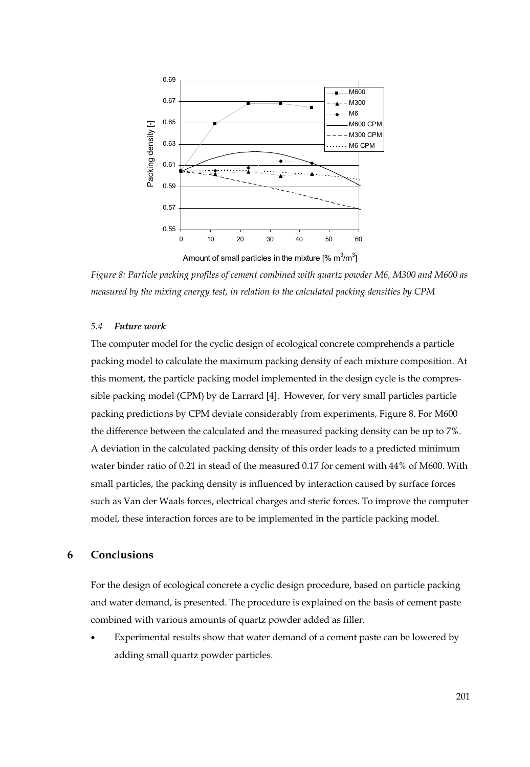

Amount of small particles in the mixture [%  $\text{m}^3\text{/m}^3$ ]

*Figure 8: Particle packing profiles of cement combined with quartz powder M6, M300 and M600 as measured by the mixing energy test, in relation to the calculated packing densities by CPM*

#### *5.4 Future work*

The computer model for the cyclic design of ecological concrete comprehends a particle packing model to calculate the maximum packing density of each mixture composition. At this moment, the particle packing model implemented in the design cycle is the compressible packing model (CPM) by de Larrard [4]. However, for very small particles particle packing predictions by CPM deviate considerably from experiments, Figure 8. For M600 the difference between the calculated and the measured packing density can be up to 7%. A deviation in the calculated packing density of this order leads to a predicted minimum water binder ratio of 0.21 in stead of the measured 0.17 for cement with 44% of M600. With small particles, the packing density is influenced by interaction caused by surface forces such as Van der Waals forces, electrical charges and steric forces. To improve the computer model, these interaction forces are to be implemented in the particle packing model.

#### **6 Conclusions**

For the design of ecological concrete a cyclic design procedure, based on particle packing and water demand, is presented. The procedure is explained on the basis of cement paste combined with various amounts of quartz powder added as filler.

Experimental results show that water demand of a cement paste can be lowered by adding small quartz powder particles.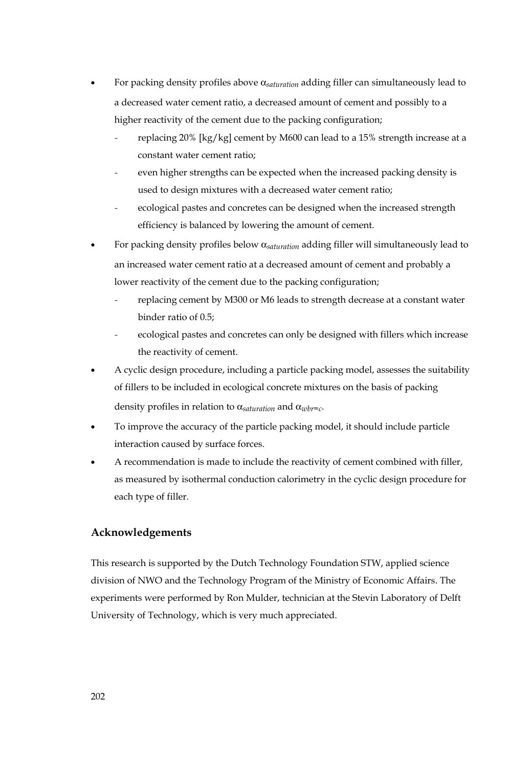- For packing density profiles above α*saturation* adding filler can simultaneously lead to a decreased water cement ratio, a decreased amount of cement and possibly to a higher reactivity of the cement due to the packing configuration;
	- replacing 20% [kg/kg] cement by M600 can lead to a 15% strength increase at a constant water cement ratio;
	- even higher strengths can be expected when the increased packing density is used to design mixtures with a decreased water cement ratio;
	- ecological pastes and concretes can be designed when the increased strength efficiency is balanced by lowering the amount of cement.
- For packing density profiles below α*saturation* adding filler will simultaneously lead to an increased water cement ratio at a decreased amount of cement and probably a lower reactivity of the cement due to the packing configuration;
	- replacing cement by M300 or M6 leads to strength decrease at a constant water binder ratio of 0.5;
	- ecological pastes and concretes can only be designed with fillers which increase the reactivity of cement.
- A cyclic design procedure, including a particle packing model, assesses the suitability of fillers to be included in ecological concrete mixtures on the basis of packing density profiles in relation to α*saturation* and α*wbr=c*.
- To improve the accuracy of the particle packing model, it should include particle interaction caused by surface forces.
- A recommendation is made to include the reactivity of cement combined with filler, as measured by isothermal conduction calorimetry in the cyclic design procedure for each type of filler.

# **Acknowledgements**

This research is supported by the Dutch Technology Foundation STW, applied science division of NWO and the Technology Program of the Ministry of Economic Affairs. The experiments were performed by Ron Mulder, technician at the Stevin Laboratory of Delft University of Technology, which is very much appreciated.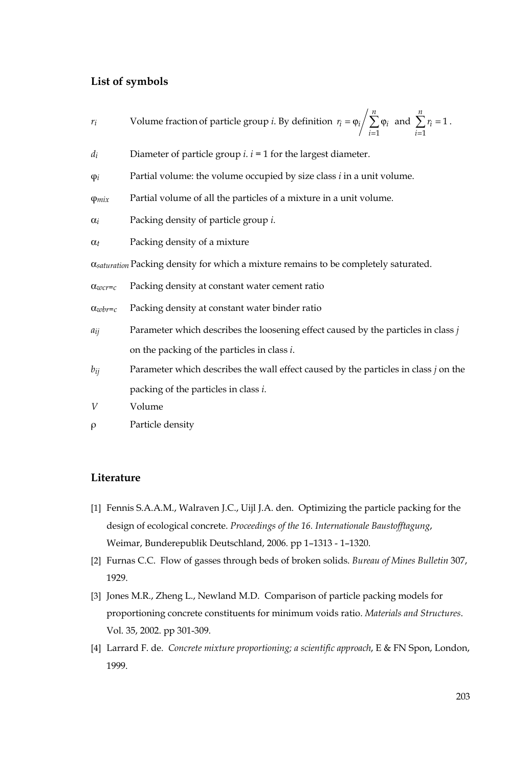# **List of symbols**

- *ri* Volume fraction of particle group *i*. By definition  $= \varphi_i / \sum_{i=1} \varphi_i$ *n*  $i = \varphi_i / \sum_{i=1}^{\infty} \varphi_i$  $r_i = \varphi_i / \sum_{i} \varphi_i$  and  $\sum_{i=1}^r r_i =$  $\sum_{i=1}^{n} r_i = 1$  $\sum_{i=1}^{r_i}$  $r_i = 1$ .
- *di* Diameter of particle group *i*. *i* = 1 for the largest diameter.
- φ*i* Partial volume: the volume occupied by size class *i* in a unit volume.
- φ*mix* Partial volume of all the particles of a mixture in a unit volume.
- α*i* Packing density of particle group *i*.
- α*t* Packing density of a mixture

α*saturation* Packing density for which a mixture remains to be completely saturated.

- α*wcr=c* Packing density at constant water cement ratio
- α*wbr=c* Packing density at constant water binder ratio
- *aij* Parameter which describes the loosening effect caused by the particles in class *j* on the packing of the particles in class *i*.
- *bij* Parameter which describes the wall effect caused by the particles in class *j* on the packing of the particles in class *i*.
- *V* Volume
- ρ Particle density

### **Literature**

- [1] Fennis S.A.A.M., Walraven J.C., Uijl J.A. den. Optimizing the particle packing for the design of ecological concrete. *Proceedings of the 16. Internationale Baustofftagung*, Weimar, Bunderepublik Deutschland, 2006. pp 1–1313 - 1–1320.
- [2] Furnas C.C. Flow of gasses through beds of broken solids. *Bureau of Mines Bulletin* 307, 1929.
- [3] Jones M.R., Zheng L., Newland M.D. Comparison of particle packing models for proportioning concrete constituents for minimum voids ratio. *Materials and Structures*. Vol. 35, 2002. pp 301-309.
- [4] Larrard F. de. *Concrete mixture proportioning; a scientific approach*, E & FN Spon, London, 1999.